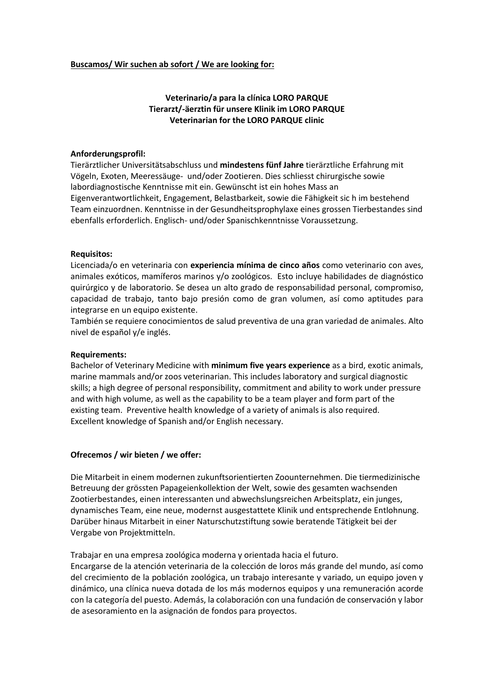# **Buscamos/ Wir suchen ab sofort / We are looking for:**

# **Veterinario/a para la clínica LORO PARQUE Tierarzt/-äerztin für unsere Klinik im LORO PARQUE Veterinarian for the LORO PARQUE clinic**

## **Anforderungsprofil:**

Tierärztlicher Universitätsabschluss und **mindestens fünf Jahre** tierärztliche Erfahrung mit Vögeln, Exoten, Meeressäuge- und/oder Zootieren. Dies schliesst chirurgische sowie labordiagnostische Kenntnisse mit ein. Gewünscht ist ein hohes Mass an Eigenverantwortlichkeit, Engagement, Belastbarkeit, sowie die Fähigkeit sic h im bestehend Team einzuordnen. Kenntnisse in der Gesundheitsprophylaxe eines grossen Tierbestandes sind ebenfalls erforderlich. Englisch- und/oder Spanischkenntnisse Voraussetzung.

#### **Requisitos:**

Licenciada/o en veterinaria con **experiencia mínima de cinco años** como veterinario con aves, animales exóticos, mamíferos marinos y/o zoológicos. Esto incluye habilidades de diagnóstico quirúrgico y de laboratorio. Se desea un alto grado de responsabilidad personal, compromiso, capacidad de trabajo, tanto bajo presión como de gran volumen, así como aptitudes para integrarse en un equipo existente.

También se requiere conocimientos de salud preventiva de una gran variedad de animales. Alto nivel de español y/e inglés.

## **Requirements:**

Bachelor of Veterinary Medicine with **minimum five years experience** as a bird, exotic animals, marine mammals and/or zoos veterinarian. This includes laboratory and surgical diagnostic skills; a high degree of personal responsibility, commitment and ability to work under pressure and with high volume, as well as the capability to be a team player and form part of the existing team. Preventive health knowledge of a variety of animals is also required. Excellent knowledge of Spanish and/or English necessary.

# **Ofrecemos / wir bieten / we offer:**

Die Mitarbeit in einem modernen zukunftsorientierten Zoounternehmen. Die tiermedizinische Betreuung der grössten Papageienkollektion der Welt, sowie des gesamten wachsenden Zootierbestandes, einen interessanten und abwechslungsreichen Arbeitsplatz, ein junges, dynamisches Team, eine neue, modernst ausgestattete Klinik und entsprechende Entlohnung. Darüber hinaus Mitarbeit in einer Naturschutzstiftung sowie beratende Tätigkeit bei der Vergabe von Projektmitteln.

Trabajar en una empresa zoológica moderna y orientada hacia el futuro.

Encargarse de la atención veterinaria de la colección de loros más grande del mundo, así como del crecimiento de la población zoológica, un trabajo interesante y variado, un equipo joven y dinámico, una clínica nueva dotada de los más modernos equipos y una remuneración acorde con la categoría del puesto. Además, la colaboración con una fundación de conservación y labor de asesoramiento en la asignación de fondos para proyectos.